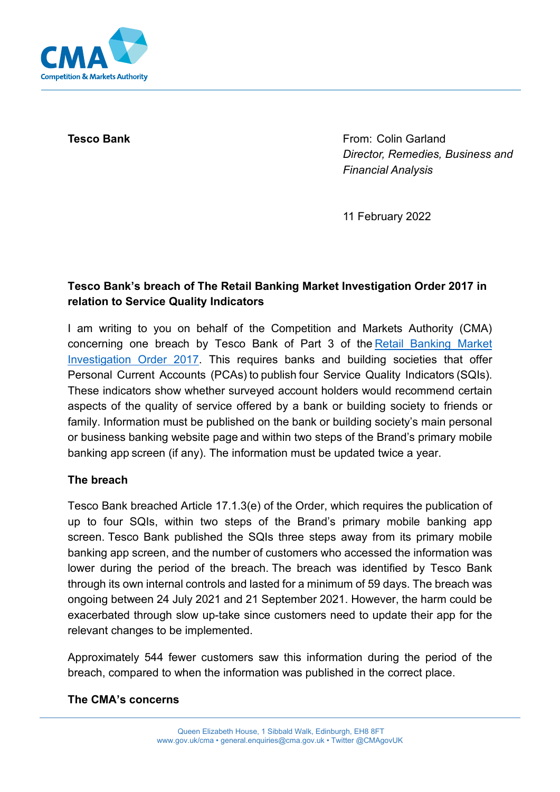

**Tesco Bank From: Colin Garland** *Director, Remedies, Business and Financial Analysis*

11 February 2022

# **Tesco Bank's breach of The Retail Banking Market Investigation Order 2017 in relation to Service Quality Indicators**

I am writing to you on behalf of the Competition and Markets Authority (CMA) concerning one breach by Tesco Bank of Part 3 of the [Retail Banking Market](https://assets.publishing.service.gov.uk/government/uploads/system/uploads/attachment_data/file/600842/retail-banking-market-investigation-order-2017.pdf)  [Investigation Order 2017.](https://assets.publishing.service.gov.uk/government/uploads/system/uploads/attachment_data/file/600842/retail-banking-market-investigation-order-2017.pdf) This requires banks and building societies that offer Personal Current Accounts (PCAs) to publish four Service Quality Indicators (SQIs). These indicators show whether surveyed account holders would recommend certain aspects of the quality of service offered by a bank or building society to friends or family. Information must be published on the bank or building society's main personal or business banking website page and within two steps of the Brand's primary mobile banking app screen (if any). The information must be updated twice a year.  

## **The breach**

Tesco Bank breached Article 17.1.3(e) of the Order, which requires the publication of up to four SQIs, within two steps of the Brand's primary mobile banking app screen. Tesco Bank published the SQIs three steps away from its primary mobile banking app screen, and the number of customers who accessed the information was lower during the period of the breach. The breach was identified by Tesco Bank through its own internal controls and lasted for a minimum of 59 days. The breach was ongoing between 24 July 2021 and 21 September 2021. However, the harm could be exacerbated through slow up-take since customers need to update their app for the relevant changes to be implemented.

Approximately 544 fewer customers saw this information during the period of the breach, compared to when the information was published in the correct place.

#### **The CMA's concerns**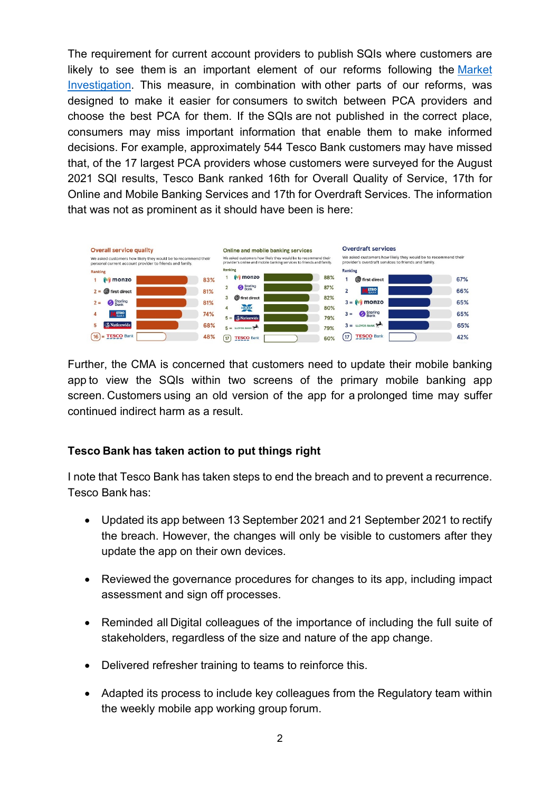The requirement for current account providers to publish SQIs where customers are likely to see them is an important element of our reforms following the [Market](https://www.gov.uk/cma-cases/review-of-banking-for-small-and-medium-sized-businesses-smes-in-the-uk)  [Investigation.](https://www.gov.uk/cma-cases/review-of-banking-for-small-and-medium-sized-businesses-smes-in-the-uk) This measure, in combination with other parts of our reforms, was designed to make it easier for consumers to switch between PCA providers and choose the best PCA for them. If the SQIs are not published in the correct place, consumers may miss important information that enable them to make informed decisions. For example, approximately 544 Tesco Bank customers may have missed that, of the 17 largest PCA providers whose customers were surveyed for the August 2021 SQI results, Tesco Bank ranked 16th for Overall Quality of Service, 17th for Online and Mobile Banking Services and 17th for Overdraft Services. The information that was not as prominent as it should have been is here:



Further, the CMA is concerned that customers need to update their mobile banking app to view the SQIs within two screens of the primary mobile banking app screen. Customers using an old version of the app for a prolonged time may suffer continued indirect harm as a result.   

#### **Tesco Bank has taken action to put things right**

I note that Tesco Bank has taken steps to end the breach and to prevent a recurrence. Tesco Bank has: 

- Updated its app between 13 September 2021 and 21 September 2021 to rectify the breach. However, the changes will only be visible to customers after they update the app on their own devices.
- Reviewed the governance procedures for changes to its app, including impact assessment and sign off processes.
- Reminded all Digital colleagues of the importance of including the full suite of stakeholders, regardless of the size and nature of the app change.
- Delivered refresher training to teams to reinforce this.
- Adapted its process to include key colleagues from the Regulatory team within the weekly mobile app working group forum.